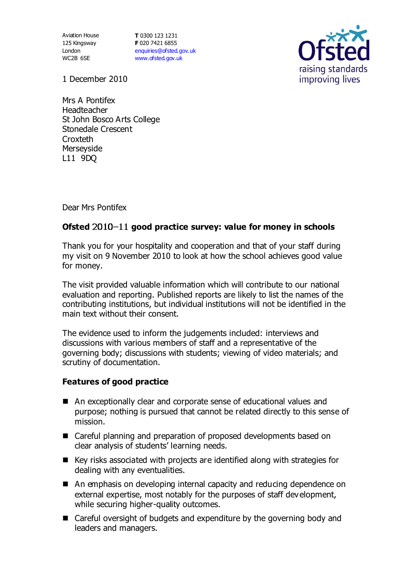Aviation House 125 Kingsway London WC2B 6SE

**T** 0300 123 1231 **F** 020 7421 6855 [enquiries@ofsted.gov.uk](mailto:enquiries@ofsted.gov.uk) [www.ofsted.gov.uk](http://www.ofsted.gov.uk/)



1 December 2010

Mrs A Pontifex Headteacher St John Bosco Arts College Stonedale Crescent **Croxteth Merseyside** L11 9DQ

Dear Mrs Pontifex

## Ofsted 2010-11 good practice survey: value for money in schools

Thank you for your hospitality and cooperation and that of your staff during my visit on 9 November 2010 to look at how the school achieves good value for money.

The visit provided valuable information which will contribute to our national evaluation and reporting. Published reports are likely to list the names of the contributing institutions, but individual institutions will not be identified in the main text without their consent.

The evidence used to inform the judgements included: interviews and discussions with various members of staff and a representative of the governing body; discussions with students; viewing of video materials; and scrutiny of documentation.

## **Features of good practice**

- An exceptionally clear and corporate sense of educational values and purpose; nothing is pursued that cannot be related directly to this sense of mission.
- Careful planning and preparation of proposed developments based on clear analysis of students' learning needs.
- Key risks associated with projects are identified along with strategies for dealing with any eventualities.
- An emphasis on developing internal capacity and reducing dependence on external expertise, most notably for the purposes of staff development, while securing higher-quality outcomes.
- Careful oversight of budgets and expenditure by the governing body and leaders and managers.